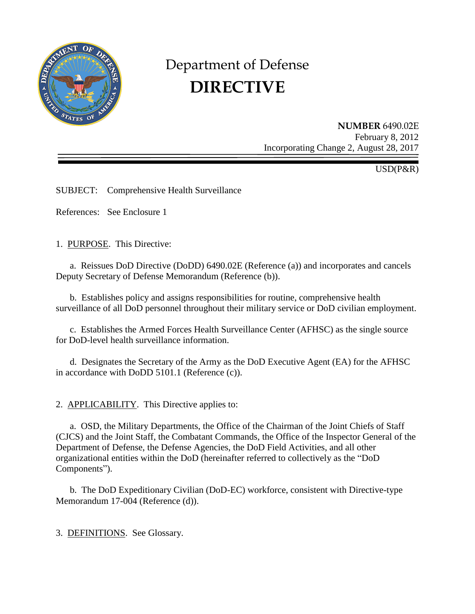

# Department of Defense **DIRECTIVE**

**NUMBER** 6490.02E February 8, 2012 Incorporating Change 2, August 28, 2017

USD(P&R)

SUBJECT: Comprehensive Health Surveillance

References: See Enclosure 1

1. PURPOSE. This Directive:

a. Reissues DoD Directive (DoDD) 6490.02E (Reference (a)) and incorporates and cancels Deputy Secretary of Defense Memorandum (Reference (b)).

b. Establishes policy and assigns responsibilities for routine, comprehensive health surveillance of all DoD personnel throughout their military service or DoD civilian employment.

c. Establishes the Armed Forces Health Surveillance Center (AFHSC) as the single source for DoD-level health surveillance information.

d. Designates the Secretary of the Army as the DoD Executive Agent (EA) for the AFHSC in accordance with DoDD 5101.1 (Reference (c)).

2. APPLICABILITY. This Directive applies to:

a. OSD, the Military Departments, the Office of the Chairman of the Joint Chiefs of Staff (CJCS) and the Joint Staff, the Combatant Commands, the Office of the Inspector General of the Department of Defense, the Defense Agencies, the DoD Field Activities, and all other organizational entities within the DoD (hereinafter referred to collectively as the "DoD Components").

b. The DoD Expeditionary Civilian (DoD-EC) workforce, consistent with Directive-type Memorandum 17-004 (Reference (d)).

3. DEFINITIONS. See Glossary.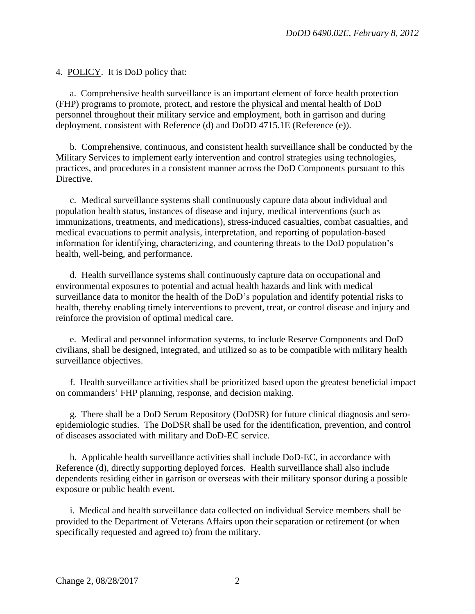4. POLICY. It is DoD policy that:

a. Comprehensive health surveillance is an important element of force health protection (FHP) programs to promote, protect, and restore the physical and mental health of DoD personnel throughout their military service and employment, both in garrison and during deployment, consistent with Reference (d) and DoDD 4715.1E (Reference (e)).

b. Comprehensive, continuous, and consistent health surveillance shall be conducted by the Military Services to implement early intervention and control strategies using technologies, practices, and procedures in a consistent manner across the DoD Components pursuant to this Directive.

c. Medical surveillance systems shall continuously capture data about individual and population health status, instances of disease and injury, medical interventions (such as immunizations, treatments, and medications), stress-induced casualties, combat casualties, and medical evacuations to permit analysis, interpretation, and reporting of population-based information for identifying, characterizing, and countering threats to the DoD population's health, well-being, and performance.

d. Health surveillance systems shall continuously capture data on occupational and environmental exposures to potential and actual health hazards and link with medical surveillance data to monitor the health of the DoD's population and identify potential risks to health, thereby enabling timely interventions to prevent, treat, or control disease and injury and reinforce the provision of optimal medical care.

e. Medical and personnel information systems, to include Reserve Components and DoD civilians, shall be designed, integrated, and utilized so as to be compatible with military health surveillance objectives.

f. Health surveillance activities shall be prioritized based upon the greatest beneficial impact on commanders' FHP planning, response, and decision making.

g. There shall be a DoD Serum Repository (DoDSR) for future clinical diagnosis and seroepidemiologic studies. The DoDSR shall be used for the identification, prevention, and control of diseases associated with military and DoD-EC service.

h. Applicable health surveillance activities shall include DoD-EC, in accordance with Reference (d), directly supporting deployed forces. Health surveillance shall also include dependents residing either in garrison or overseas with their military sponsor during a possible exposure or public health event.

i. Medical and health surveillance data collected on individual Service members shall be provided to the Department of Veterans Affairs upon their separation or retirement (or when specifically requested and agreed to) from the military.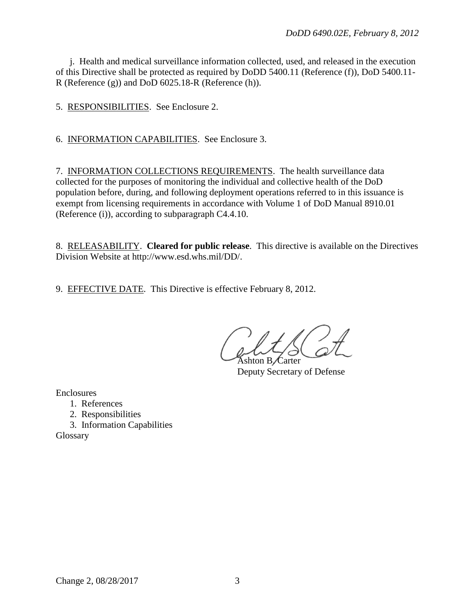j. Health and medical surveillance information collected, used, and released in the execution of this Directive shall be protected as required by DoDD 5400.11 (Reference (f)), DoD 5400.11- R (Reference (g)) and DoD 6025.18-R (Reference (h)).

5. RESPONSIBILITIES. See Enclosure 2.

6. INFORMATION CAPABILITIES. See Enclosure 3.

7. INFORMATION COLLECTIONS REQUIREMENTS. The health surveillance data collected for the purposes of monitoring the individual and collective health of the DoD population before, during, and following deployment operations referred to in this issuance is exempt from licensing requirements in accordance with Volume 1 of DoD Manual 8910.01 (Reference (i)), according to subparagraph C4.4.10.

8. RELEASABILITY. **Cleared for public release**. This directive is available on the Directives Division Website at http://www.esd.whs.mil/DD/.

9. EFFECTIVE DATE. This Directive is effective February 8, 2012.

Ashton B Carter

Deputy Secretary of Defense

Enclosures

- 1. References
- 2. Responsibilities
- 3. Information Capabilities

Glossary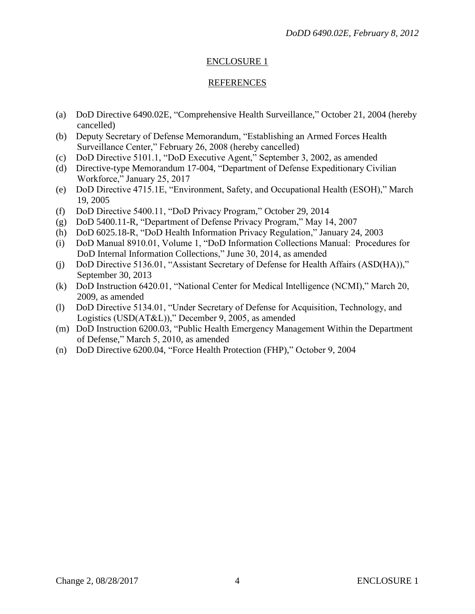#### ENCLOSURE 1

#### REFERENCES

- (a) DoD Directive 6490.02E, "Comprehensive Health Surveillance," October 21, 2004 (hereby cancelled)
- (b) Deputy Secretary of Defense Memorandum, "Establishing an Armed Forces Health Surveillance Center," February 26, 2008 (hereby cancelled)
- (c) DoD Directive 5101.1, "DoD Executive Agent," September 3, 2002, as amended
- (d) Directive-type Memorandum 17-004, "Department of Defense Expeditionary Civilian Workforce," January 25, 2017
- (e) DoD Directive 4715.1E, "Environment, Safety, and Occupational Health (ESOH)," March 19, 2005
- (f) DoD Directive 5400.11, "DoD Privacy Program," October 29, 2014
- (g) DoD 5400.11-R, "Department of Defense Privacy Program," May 14, 2007
- (h) DoD 6025.18-R, "DoD Health Information Privacy Regulation," January 24, 2003
- (i) DoD Manual 8910.01, Volume 1, "DoD Information Collections Manual: Procedures for DoD Internal Information Collections," June 30, 2014, as amended
- (j) DoD Directive 5136.01, "Assistant Secretary of Defense for Health Affairs (ASD(HA))," September 30, 2013
- (k) DoD Instruction 6420.01, "National Center for Medical Intelligence (NCMI)," March 20, 2009, as amended
- (l) DoD Directive 5134.01, "Under Secretary of Defense for Acquisition, Technology, and Logistics (USD(AT&L))," December 9, 2005, as amended
- (m) DoD Instruction 6200.03, "Public Health Emergency Management Within the Department of Defense," March 5, 2010, as amended
- (n) DoD Directive 6200.04, "Force Health Protection (FHP)," October 9, 2004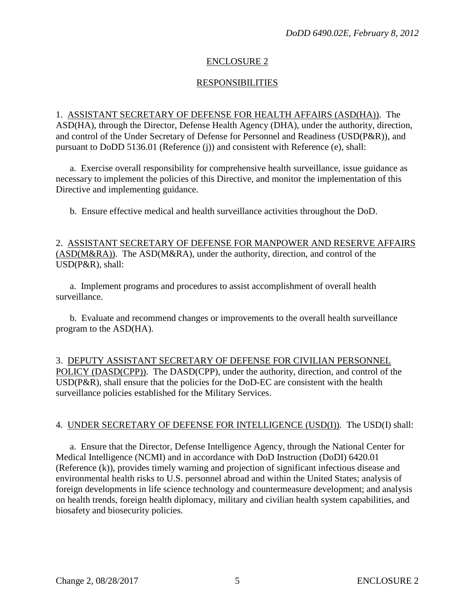#### ENCLOSURE 2

#### **RESPONSIBILITIES**

1. ASSISTANT SECRETARY OF DEFENSE FOR HEALTH AFFAIRS (ASD(HA)). The ASD(HA), through the Director, Defense Health Agency (DHA), under the authority, direction, and control of the Under Secretary of Defense for Personnel and Readiness (USD(P&R)), and pursuant to DoDD 5136.01 (Reference (j)) and consistent with Reference (e), shall:

a. Exercise overall responsibility for comprehensive health surveillance, issue guidance as necessary to implement the policies of this Directive, and monitor the implementation of this Directive and implementing guidance.

b. Ensure effective medical and health surveillance activities throughout the DoD.

#### 2. ASSISTANT SECRETARY OF DEFENSE FOR MANPOWER AND RESERVE AFFAIRS (ASD(M&RA)). The ASD(M&RA), under the authority, direction, and control of the USD(P&R), shall:

a. Implement programs and procedures to assist accomplishment of overall health surveillance.

b. Evaluate and recommend changes or improvements to the overall health surveillance program to the ASD(HA).

3. DEPUTY ASSISTANT SECRETARY OF DEFENSE FOR CIVILIAN PERSONNEL POLICY (DASD(CPP)). The DASD(CPP), under the authority, direction, and control of the  $USD(P&R)$ , shall ensure that the policies for the DoD-EC are consistent with the health surveillance policies established for the Military Services.

#### 4. UNDER SECRETARY OF DEFENSE FOR INTELLIGENCE (USD(I)). The USD(I) shall:

a. Ensure that the Director, Defense Intelligence Agency, through the National Center for Medical Intelligence (NCMI) and in accordance with DoD Instruction (DoDI) 6420.01 (Reference (k)), provides timely warning and projection of significant infectious disease and environmental health risks to U.S. personnel abroad and within the United States; analysis of foreign developments in life science technology and countermeasure development; and analysis on health trends, foreign health diplomacy, military and civilian health system capabilities, and biosafety and biosecurity policies.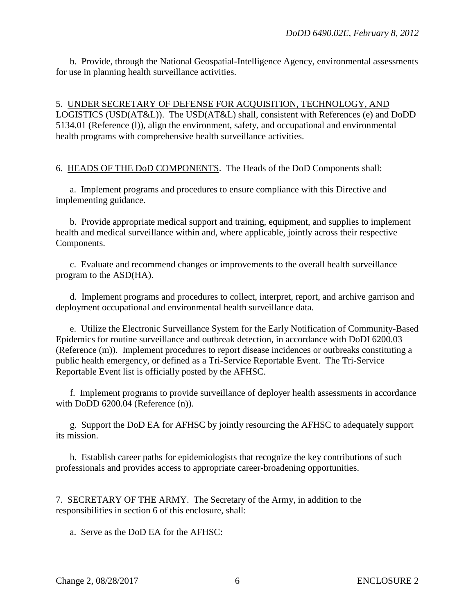b. Provide, through the National Geospatial-Intelligence Agency, environmental assessments for use in planning health surveillance activities.

5. UNDER SECRETARY OF DEFENSE FOR ACQUISITION, TECHNOLOGY, AND LOGISTICS (USD(AT&L)). The USD(AT&L) shall, consistent with References (e) and DoDD 5134.01 (Reference (l)), align the environment, safety, and occupational and environmental health programs with comprehensive health surveillance activities.

6. HEADS OF THE DoD COMPONENTS. The Heads of the DoD Components shall:

a. Implement programs and procedures to ensure compliance with this Directive and implementing guidance.

b. Provide appropriate medical support and training, equipment, and supplies to implement health and medical surveillance within and, where applicable, jointly across their respective Components.

c. Evaluate and recommend changes or improvements to the overall health surveillance program to the ASD(HA).

d. Implement programs and procedures to collect, interpret, report, and archive garrison and deployment occupational and environmental health surveillance data.

e. Utilize the Electronic Surveillance System for the Early Notification of Community-Based Epidemics for routine surveillance and outbreak detection, in accordance with DoDI 6200.03 (Reference (m)). Implement procedures to report disease incidences or outbreaks constituting a public health emergency, or defined as a Tri-Service Reportable Event. The Tri-Service Reportable Event list is officially posted by the AFHSC.

f. Implement programs to provide surveillance of deployer health assessments in accordance with DoDD 6200.04 (Reference (n)).

g. Support the DoD EA for AFHSC by jointly resourcing the AFHSC to adequately support its mission.

h. Establish career paths for epidemiologists that recognize the key contributions of such professionals and provides access to appropriate career-broadening opportunities.

7. SECRETARY OF THE ARMY. The Secretary of the Army, in addition to the responsibilities in section 6 of this enclosure, shall:

a. Serve as the DoD EA for the AFHSC: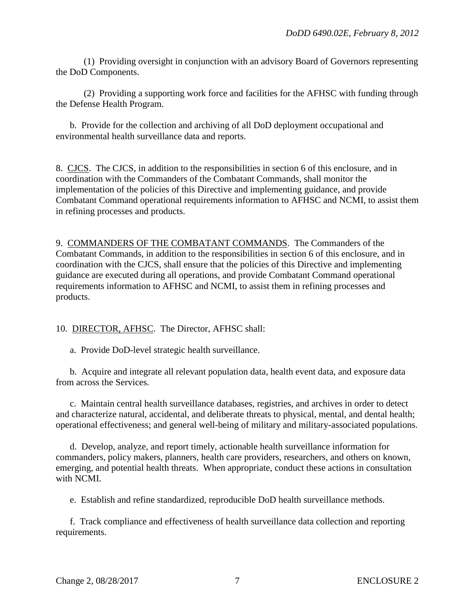(1) Providing oversight in conjunction with an advisory Board of Governors representing the DoD Components.

(2) Providing a supporting work force and facilities for the AFHSC with funding through the Defense Health Program.

b. Provide for the collection and archiving of all DoD deployment occupational and environmental health surveillance data and reports.

8. CJCS. The CJCS, in addition to the responsibilities in section 6 of this enclosure, and in coordination with the Commanders of the Combatant Commands, shall monitor the implementation of the policies of this Directive and implementing guidance, and provide Combatant Command operational requirements information to AFHSC and NCMI, to assist them in refining processes and products.

9. COMMANDERS OF THE COMBATANT COMMANDS. The Commanders of the Combatant Commands, in addition to the responsibilities in section 6 of this enclosure, and in coordination with the CJCS, shall ensure that the policies of this Directive and implementing guidance are executed during all operations, and provide Combatant Command operational requirements information to AFHSC and NCMI, to assist them in refining processes and products.

10. DIRECTOR, AFHSC. The Director, AFHSC shall:

a. Provide DoD-level strategic health surveillance.

b. Acquire and integrate all relevant population data, health event data, and exposure data from across the Services.

c. Maintain central health surveillance databases, registries, and archives in order to detect and characterize natural, accidental, and deliberate threats to physical, mental, and dental health; operational effectiveness; and general well-being of military and military-associated populations.

d. Develop, analyze, and report timely, actionable health surveillance information for commanders, policy makers, planners, health care providers, researchers, and others on known, emerging, and potential health threats. When appropriate, conduct these actions in consultation with NCMI.

e. Establish and refine standardized, reproducible DoD health surveillance methods.

f. Track compliance and effectiveness of health surveillance data collection and reporting requirements.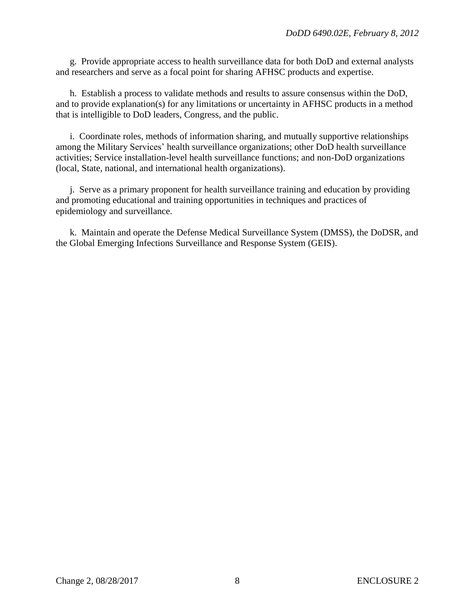g. Provide appropriate access to health surveillance data for both DoD and external analysts and researchers and serve as a focal point for sharing AFHSC products and expertise.

h. Establish a process to validate methods and results to assure consensus within the DoD, and to provide explanation(s) for any limitations or uncertainty in AFHSC products in a method that is intelligible to DoD leaders, Congress, and the public.

i. Coordinate roles, methods of information sharing, and mutually supportive relationships among the Military Services' health surveillance organizations; other DoD health surveillance activities; Service installation-level health surveillance functions; and non-DoD organizations (local, State, national, and international health organizations).

j. Serve as a primary proponent for health surveillance training and education by providing and promoting educational and training opportunities in techniques and practices of epidemiology and surveillance.

k. Maintain and operate the Defense Medical Surveillance System (DMSS), the DoDSR, and the Global Emerging Infections Surveillance and Response System (GEIS).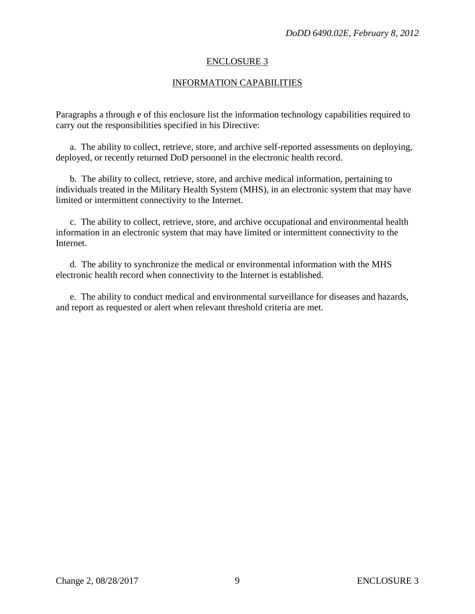#### ENCLOSURE 3

#### INFORMATION CAPABILITIES

Paragraphs a through e of this enclosure list the information technology capabilities required to carry out the responsibilities specified in his Directive:

a. The ability to collect, retrieve, store, and archive self-reported assessments on deploying, deployed, or recently returned DoD personnel in the electronic health record.

b. The ability to collect, retrieve, store, and archive medical information, pertaining to individuals treated in the Military Health System (MHS), in an electronic system that may have limited or intermittent connectivity to the Internet.

c. The ability to collect, retrieve, store, and archive occupational and environmental health information in an electronic system that may have limited or intermittent connectivity to the Internet.

d. The ability to synchronize the medical or environmental information with the MHS electronic health record when connectivity to the Internet is established.

e. The ability to conduct medical and environmental surveillance for diseases and hazards, and report as requested or alert when relevant threshold criteria are met.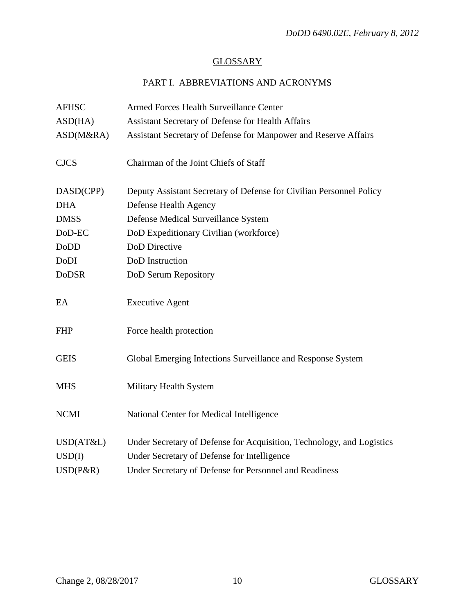## **GLOSSARY**

# PART I. ABBREVIATIONS AND ACRONYMS

| <b>AFHSC</b> | Armed Forces Health Surveillance Center                               |
|--------------|-----------------------------------------------------------------------|
| ASD(HA)      | Assistant Secretary of Defense for Health Affairs                     |
| ASD(M&RA)    | Assistant Secretary of Defense for Manpower and Reserve Affairs       |
| <b>CJCS</b>  | Chairman of the Joint Chiefs of Staff                                 |
| DASD(CPP)    | Deputy Assistant Secretary of Defense for Civilian Personnel Policy   |
| <b>DHA</b>   | Defense Health Agency                                                 |
| <b>DMSS</b>  | Defense Medical Surveillance System                                   |
| DoD-EC       | DoD Expeditionary Civilian (workforce)                                |
| <b>DoDD</b>  | <b>DoD</b> Directive                                                  |
| DoDI         | DoD Instruction                                                       |
| <b>DoDSR</b> | DoD Serum Repository                                                  |
| EA           | <b>Executive Agent</b>                                                |
| <b>FHP</b>   | Force health protection                                               |
| <b>GEIS</b>  | Global Emerging Infections Surveillance and Response System           |
| <b>MHS</b>   | Military Health System                                                |
| <b>NCMI</b>  | National Center for Medical Intelligence                              |
| USD(AT&L)    | Under Secretary of Defense for Acquisition, Technology, and Logistics |
| USD(I)       | Under Secretary of Defense for Intelligence                           |
| $USD(P\&R)$  | Under Secretary of Defense for Personnel and Readiness                |